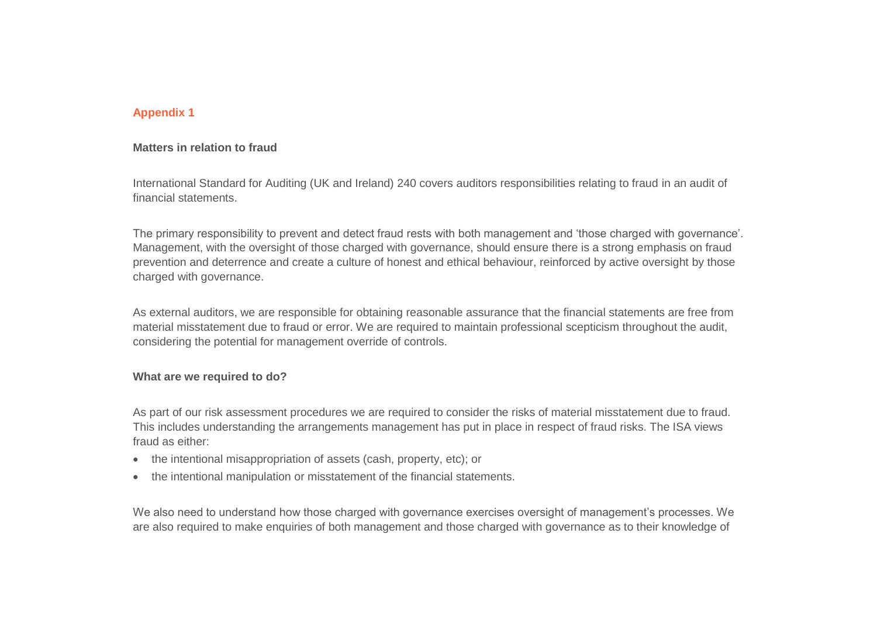## **Appendix 1**

#### **Matters in relation to fraud**

International Standard for Auditing (UK and Ireland) 240 covers auditors responsibilities relating to fraud in an audit of financial statements.

The primary responsibility to prevent and detect fraud rests with both management and 'those charged with governance'. Management, with the oversight of those charged with governance, should ensure there is a strong emphasis on fraud prevention and deterrence and create a culture of honest and ethical behaviour, reinforced by active oversight by those charged with governance.

As external auditors, we are responsible for obtaining reasonable assurance that the financial statements are free from material misstatement due to fraud or error. We are required to maintain professional scepticism throughout the audit, considering the potential for management override of controls.

#### **What are we required to do?**

As part of our risk assessment procedures we are required to consider the risks of material misstatement due to fraud. This includes understanding the arrangements management has put in place in respect of fraud risks. The ISA views fraud as either:

- the intentional misappropriation of assets (cash, property, etc); or
- the intentional manipulation or misstatement of the financial statements.

We also need to understand how those charged with governance exercises oversight of management's processes. We are also required to make enquiries of both management and those charged with governance as to their knowledge of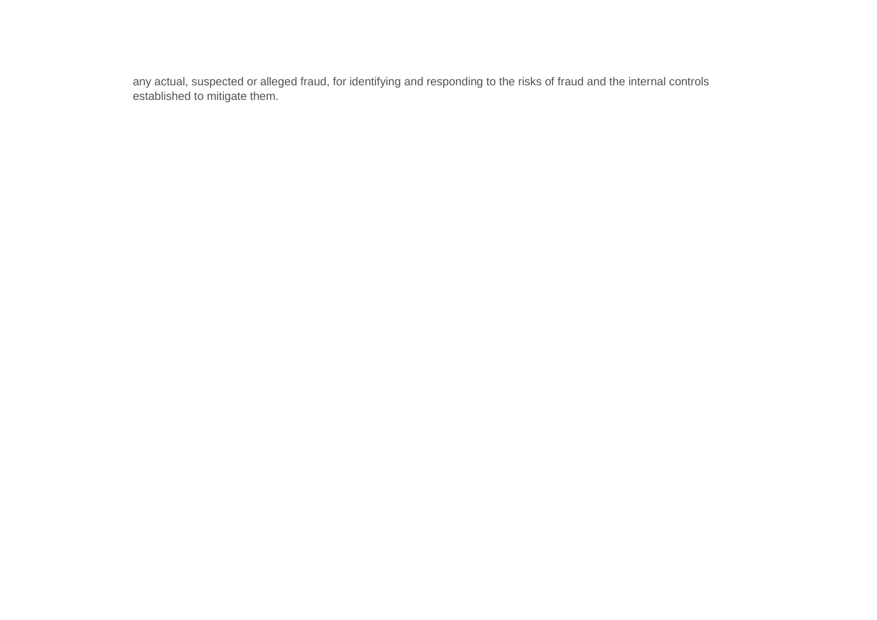any actual, suspected or alleged fraud, for identifying and responding to the risks of fraud and the internal controls established to mitigate them.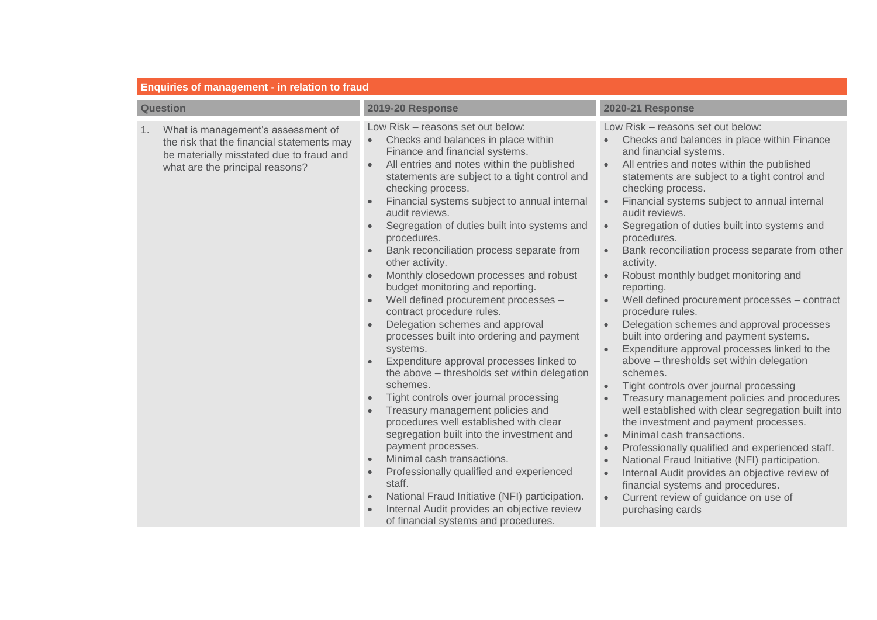| <b>Enquiries of management - in relation to fraud</b>                                                                                                                 |                                                                                                                                                                                                                                                                                                                                                                                                                                                                                                                                                                                                                                                                                                                                                                                                                                                                                                                                                                                                                                                                                                                                                                                                                                                                                                                                                  |                                                                                                                                                                                                                                                                                                                                                                                                                                                                                                                                                                                                                                                                                                                                                                                                                                                                                                                                                                                                                                                                                                                                                                                                                                                                                                                         |
|-----------------------------------------------------------------------------------------------------------------------------------------------------------------------|--------------------------------------------------------------------------------------------------------------------------------------------------------------------------------------------------------------------------------------------------------------------------------------------------------------------------------------------------------------------------------------------------------------------------------------------------------------------------------------------------------------------------------------------------------------------------------------------------------------------------------------------------------------------------------------------------------------------------------------------------------------------------------------------------------------------------------------------------------------------------------------------------------------------------------------------------------------------------------------------------------------------------------------------------------------------------------------------------------------------------------------------------------------------------------------------------------------------------------------------------------------------------------------------------------------------------------------------------|-------------------------------------------------------------------------------------------------------------------------------------------------------------------------------------------------------------------------------------------------------------------------------------------------------------------------------------------------------------------------------------------------------------------------------------------------------------------------------------------------------------------------------------------------------------------------------------------------------------------------------------------------------------------------------------------------------------------------------------------------------------------------------------------------------------------------------------------------------------------------------------------------------------------------------------------------------------------------------------------------------------------------------------------------------------------------------------------------------------------------------------------------------------------------------------------------------------------------------------------------------------------------------------------------------------------------|
| <b>Question</b>                                                                                                                                                       | <b>2019-20 Response</b>                                                                                                                                                                                                                                                                                                                                                                                                                                                                                                                                                                                                                                                                                                                                                                                                                                                                                                                                                                                                                                                                                                                                                                                                                                                                                                                          | <b>2020-21 Response</b>                                                                                                                                                                                                                                                                                                                                                                                                                                                                                                                                                                                                                                                                                                                                                                                                                                                                                                                                                                                                                                                                                                                                                                                                                                                                                                 |
| What is management's assessment of<br>1.<br>the risk that the financial statements may<br>be materially misstated due to fraud and<br>what are the principal reasons? | Low Risk - reasons set out below:<br>Checks and balances in place within<br>$\bullet$<br>Finance and financial systems.<br>All entries and notes within the published<br>$\bullet$<br>statements are subject to a tight control and<br>checking process.<br>Financial systems subject to annual internal<br>$\bullet$<br>audit reviews.<br>Segregation of duties built into systems and<br>$\bullet$<br>procedures.<br>Bank reconciliation process separate from<br>other activity.<br>Monthly closedown processes and robust<br>budget monitoring and reporting.<br>Well defined procurement processes -<br>contract procedure rules.<br>Delegation schemes and approval<br>processes built into ordering and payment<br>systems.<br>Expenditure approval processes linked to<br>the above - thresholds set within delegation<br>schemes.<br>Tight controls over journal processing<br>$\bullet$<br>Treasury management policies and<br>$\bullet$<br>procedures well established with clear<br>segregation built into the investment and<br>payment processes.<br>Minimal cash transactions.<br>$\bullet$<br>Professionally qualified and experienced<br>$\bullet$<br>staff.<br>National Fraud Initiative (NFI) participation.<br>$\bullet$<br>Internal Audit provides an objective review<br>$\bullet$<br>of financial systems and procedures. | Low Risk - reasons set out below:<br>Checks and balances in place within Finance<br>and financial systems.<br>All entries and notes within the published<br>statements are subject to a tight control and<br>checking process.<br>Financial systems subject to annual internal<br>audit reviews.<br>Segregation of duties built into systems and<br>$\bullet$<br>procedures.<br>Bank reconciliation process separate from other<br>$\bullet$<br>activity.<br>Robust monthly budget monitoring and<br>reporting.<br>Well defined procurement processes - contract<br>procedure rules.<br>Delegation schemes and approval processes<br>built into ordering and payment systems.<br>Expenditure approval processes linked to the<br>above - thresholds set within delegation<br>schemes.<br>Tight controls over journal processing<br>$\bullet$<br>Treasury management policies and procedures<br>well established with clear segregation built into<br>the investment and payment processes.<br>Minimal cash transactions.<br>$\bullet$<br>Professionally qualified and experienced staff.<br>$\bullet$<br>National Fraud Initiative (NFI) participation.<br>$\bullet$<br>Internal Audit provides an objective review of<br>financial systems and procedures.<br>Current review of guidance on use of<br>purchasing cards |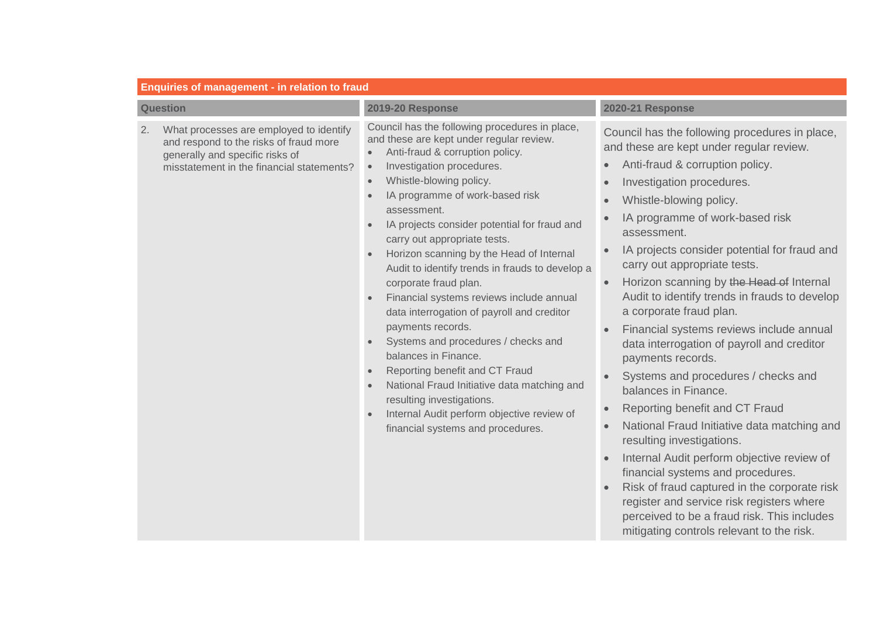| <b>Question</b>                                                                                                                                                         | <b>2019-20 Response</b>                                                                                                                                                                                                                                                                                                                                                                                                                                                                                                                                                                                                                                                                                                                                                                                                                                                                                                                             | 2020-21 Response                                                                                                                                                                                                                                                                                                                                                                                                                                                                                                                                                                                                                                                                                                                                                                                                                                                                                                                                                                                                                                                                                                                                                       |
|-------------------------------------------------------------------------------------------------------------------------------------------------------------------------|-----------------------------------------------------------------------------------------------------------------------------------------------------------------------------------------------------------------------------------------------------------------------------------------------------------------------------------------------------------------------------------------------------------------------------------------------------------------------------------------------------------------------------------------------------------------------------------------------------------------------------------------------------------------------------------------------------------------------------------------------------------------------------------------------------------------------------------------------------------------------------------------------------------------------------------------------------|------------------------------------------------------------------------------------------------------------------------------------------------------------------------------------------------------------------------------------------------------------------------------------------------------------------------------------------------------------------------------------------------------------------------------------------------------------------------------------------------------------------------------------------------------------------------------------------------------------------------------------------------------------------------------------------------------------------------------------------------------------------------------------------------------------------------------------------------------------------------------------------------------------------------------------------------------------------------------------------------------------------------------------------------------------------------------------------------------------------------------------------------------------------------|
| What processes are employed to identify<br>2.<br>and respond to the risks of fraud more<br>generally and specific risks of<br>misstatement in the financial statements? | Council has the following procedures in place,<br>and these are kept under regular review.<br>Anti-fraud & corruption policy.<br>$\bullet$<br>Investigation procedures.<br>$\bullet$<br>Whistle-blowing policy.<br>$\bullet$<br>IA programme of work-based risk<br>$\bullet$<br>assessment.<br>IA projects consider potential for fraud and<br>$\bullet$<br>carry out appropriate tests.<br>Horizon scanning by the Head of Internal<br>Audit to identify trends in frauds to develop a<br>corporate fraud plan.<br>Financial systems reviews include annual<br>data interrogation of payroll and creditor<br>payments records.<br>Systems and procedures / checks and<br>$\bullet$<br>balances in Finance.<br>Reporting benefit and CT Fraud<br>$\bullet$<br>National Fraud Initiative data matching and<br>$\bullet$<br>resulting investigations.<br>Internal Audit perform objective review of<br>$\bullet$<br>financial systems and procedures. | Council has the following procedures in place,<br>and these are kept under regular review.<br>Anti-fraud & corruption policy.<br>$\bullet$<br>Investigation procedures.<br>$\bullet$<br>Whistle-blowing policy.<br>$\bullet$<br>IA programme of work-based risk<br>assessment.<br>IA projects consider potential for fraud and<br>$\bullet$<br>carry out appropriate tests.<br>Horizon scanning by the Head of Internal<br>$\bullet$<br>Audit to identify trends in frauds to develop<br>a corporate fraud plan.<br>Financial systems reviews include annual<br>$\bullet$<br>data interrogation of payroll and creditor<br>payments records.<br>Systems and procedures / checks and<br>$\bullet$<br>balances in Finance.<br>Reporting benefit and CT Fraud<br>$\bullet$<br>National Fraud Initiative data matching and<br>$\bullet$<br>resulting investigations.<br>Internal Audit perform objective review of<br>$\bullet$<br>financial systems and procedures.<br>Risk of fraud captured in the corporate risk<br>$\bullet$<br>register and service risk registers where<br>perceived to be a fraud risk. This includes<br>mitigating controls relevant to the risk. |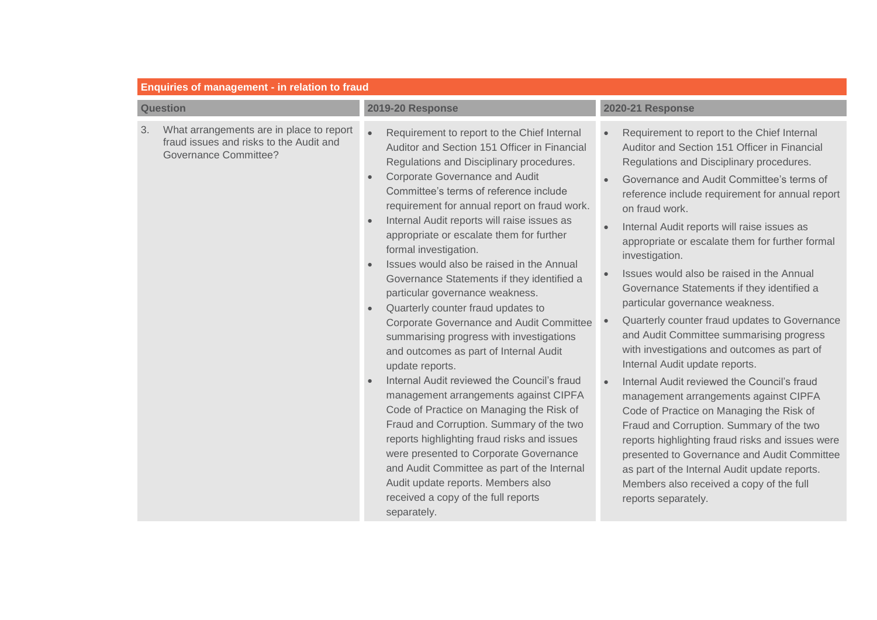|                 | <b>Enquiries of management - in relation to fraud</b>                                                               |                                                                                                                                                                                                                                                                                                                                                                                                                                                                                                                                                                                                                                                                                                                                                                                                                                                                                                                                                                                                                                                                                                                                                                                                 |                                                                                                                                                                                                                                                                                                                                                                                                                                                                                                                                                                                                                                                                                                                                                                                                                                                                                                                                                                                                                                                                                                  |
|-----------------|---------------------------------------------------------------------------------------------------------------------|-------------------------------------------------------------------------------------------------------------------------------------------------------------------------------------------------------------------------------------------------------------------------------------------------------------------------------------------------------------------------------------------------------------------------------------------------------------------------------------------------------------------------------------------------------------------------------------------------------------------------------------------------------------------------------------------------------------------------------------------------------------------------------------------------------------------------------------------------------------------------------------------------------------------------------------------------------------------------------------------------------------------------------------------------------------------------------------------------------------------------------------------------------------------------------------------------|--------------------------------------------------------------------------------------------------------------------------------------------------------------------------------------------------------------------------------------------------------------------------------------------------------------------------------------------------------------------------------------------------------------------------------------------------------------------------------------------------------------------------------------------------------------------------------------------------------------------------------------------------------------------------------------------------------------------------------------------------------------------------------------------------------------------------------------------------------------------------------------------------------------------------------------------------------------------------------------------------------------------------------------------------------------------------------------------------|
| <b>Question</b> |                                                                                                                     | <b>2019-20 Response</b>                                                                                                                                                                                                                                                                                                                                                                                                                                                                                                                                                                                                                                                                                                                                                                                                                                                                                                                                                                                                                                                                                                                                                                         | <b>2020-21 Response</b>                                                                                                                                                                                                                                                                                                                                                                                                                                                                                                                                                                                                                                                                                                                                                                                                                                                                                                                                                                                                                                                                          |
| 3.              | What arrangements are in place to report<br>fraud issues and risks to the Audit and<br><b>Governance Committee?</b> | Requirement to report to the Chief Internal<br>$\bullet$<br>Auditor and Section 151 Officer in Financial<br>Regulations and Disciplinary procedures.<br><b>Corporate Governance and Audit</b><br>$\bullet$<br>Committee's terms of reference include<br>requirement for annual report on fraud work.<br>Internal Audit reports will raise issues as<br>$\bullet$<br>appropriate or escalate them for further<br>formal investigation.<br>Issues would also be raised in the Annual<br>Governance Statements if they identified a<br>particular governance weakness.<br>Quarterly counter fraud updates to<br>$\bullet$<br>Corporate Governance and Audit Committee<br>summarising progress with investigations<br>and outcomes as part of Internal Audit<br>update reports.<br>Internal Audit reviewed the Council's fraud<br>management arrangements against CIPFA<br>Code of Practice on Managing the Risk of<br>Fraud and Corruption. Summary of the two<br>reports highlighting fraud risks and issues<br>were presented to Corporate Governance<br>and Audit Committee as part of the Internal<br>Audit update reports. Members also<br>received a copy of the full reports<br>separately. | Requirement to report to the Chief Internal<br>Auditor and Section 151 Officer in Financial<br>Regulations and Disciplinary procedures.<br>Governance and Audit Committee's terms of<br>reference include requirement for annual report<br>on fraud work.<br>Internal Audit reports will raise issues as<br>appropriate or escalate them for further formal<br>investigation.<br>Issues would also be raised in the Annual<br>Governance Statements if they identified a<br>particular governance weakness.<br>Quarterly counter fraud updates to Governance<br>and Audit Committee summarising progress<br>with investigations and outcomes as part of<br>Internal Audit update reports.<br>Internal Audit reviewed the Council's fraud<br>management arrangements against CIPFA<br>Code of Practice on Managing the Risk of<br>Fraud and Corruption. Summary of the two<br>reports highlighting fraud risks and issues were<br>presented to Governance and Audit Committee<br>as part of the Internal Audit update reports.<br>Members also received a copy of the full<br>reports separately. |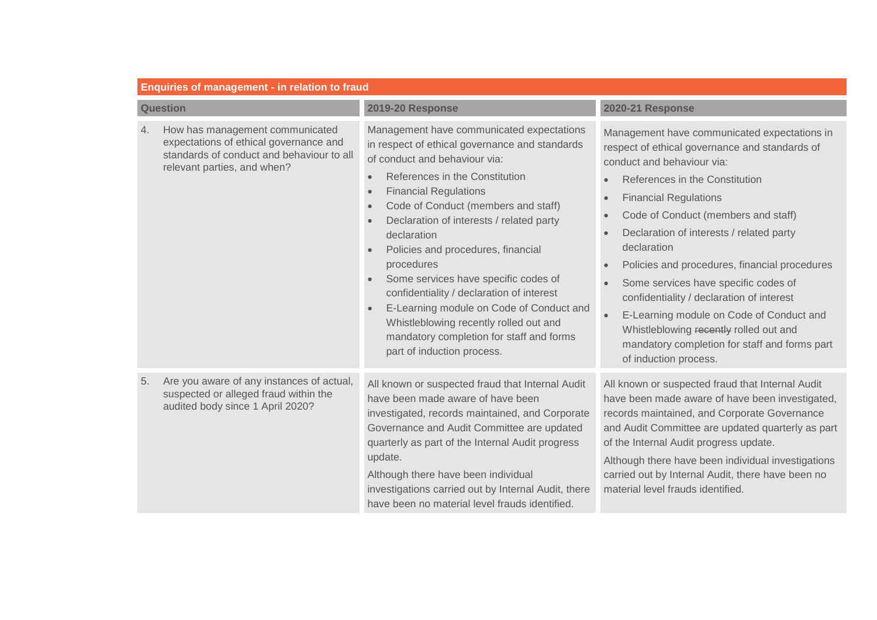| <b>Enquiries of management - in relation to fraud</b> |                                                                                                                                                       |                                                                                                                                                                                                                                                                                                                                                                                                                                                                                                                                                                                                                                                                                                      |                                                                                                                                                                                                                                                                                                                                                                                                                                                                                                                                                                                                        |
|-------------------------------------------------------|-------------------------------------------------------------------------------------------------------------------------------------------------------|------------------------------------------------------------------------------------------------------------------------------------------------------------------------------------------------------------------------------------------------------------------------------------------------------------------------------------------------------------------------------------------------------------------------------------------------------------------------------------------------------------------------------------------------------------------------------------------------------------------------------------------------------------------------------------------------------|--------------------------------------------------------------------------------------------------------------------------------------------------------------------------------------------------------------------------------------------------------------------------------------------------------------------------------------------------------------------------------------------------------------------------------------------------------------------------------------------------------------------------------------------------------------------------------------------------------|
| <b>Question</b>                                       |                                                                                                                                                       | <b>2019-20 Response</b>                                                                                                                                                                                                                                                                                                                                                                                                                                                                                                                                                                                                                                                                              | <b>2020-21 Response</b>                                                                                                                                                                                                                                                                                                                                                                                                                                                                                                                                                                                |
| 4.                                                    | How has management communicated<br>expectations of ethical governance and<br>standards of conduct and behaviour to all<br>relevant parties, and when? | Management have communicated expectations<br>in respect of ethical governance and standards<br>of conduct and behaviour via:<br>References in the Constitution<br>$\bullet$<br><b>Financial Regulations</b><br>$\bullet$<br>Code of Conduct (members and staff)<br>$\bullet$<br>Declaration of interests / related party<br>$\bullet$<br>declaration<br>Policies and procedures, financial<br>$\bullet$<br>procedures<br>Some services have specific codes of<br>$\bullet$<br>confidentiality / declaration of interest<br>E-Learning module on Code of Conduct and<br>$\bullet$<br>Whistleblowing recently rolled out and<br>mandatory completion for staff and forms<br>part of induction process. | Management have communicated expectations in<br>respect of ethical governance and standards of<br>conduct and behaviour via:<br>References in the Constitution<br><b>Financial Regulations</b><br>Code of Conduct (members and staff)<br>Declaration of interests / related party<br>declaration<br>Policies and procedures, financial procedures<br>Some services have specific codes of<br>confidentiality / declaration of interest<br>E-Learning module on Code of Conduct and<br>Whistleblowing recently rolled out and<br>mandatory completion for staff and forms part<br>of induction process. |
| 5.                                                    | Are you aware of any instances of actual,<br>suspected or alleged fraud within the<br>audited body since 1 April 2020?                                | All known or suspected fraud that Internal Audit<br>have been made aware of have been<br>investigated, records maintained, and Corporate<br>Governance and Audit Committee are updated<br>quarterly as part of the Internal Audit progress<br>update.<br>Although there have been individual<br>investigations carried out by Internal Audit, there<br>have been no material level frauds identified.                                                                                                                                                                                                                                                                                                | All known or suspected fraud that Internal Audit<br>have been made aware of have been investigated,<br>records maintained, and Corporate Governance<br>and Audit Committee are updated quarterly as part<br>of the Internal Audit progress update.<br>Although there have been individual investigations<br>carried out by Internal Audit, there have been no<br>material level frauds identified.                                                                                                                                                                                                     |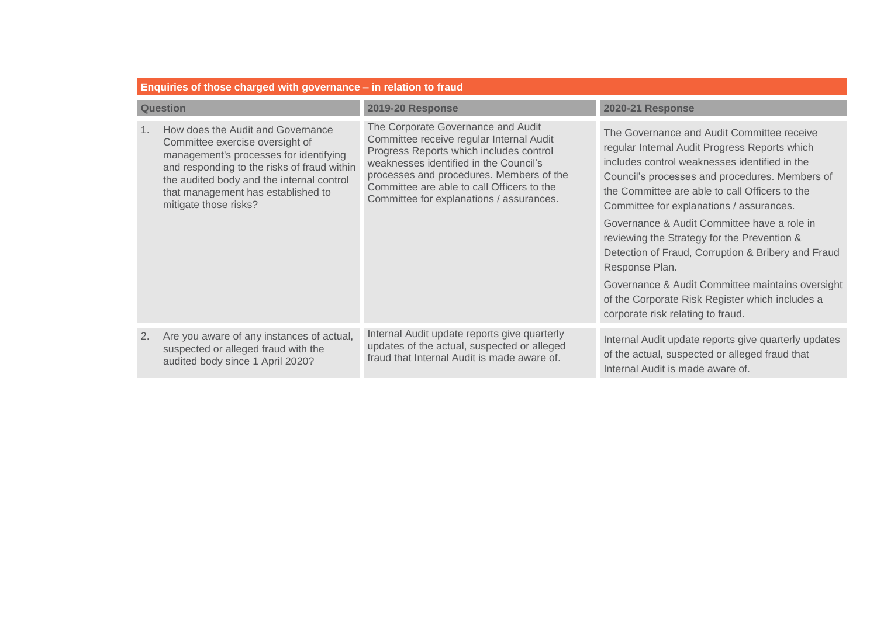| Enquiries of those charged with governance - in relation to fraud |                                                                                                                                                                                                                                                                           |                                                                                                                                                                                                                                                                                                           |                                                                                                                                                                                                                                                                                              |
|-------------------------------------------------------------------|---------------------------------------------------------------------------------------------------------------------------------------------------------------------------------------------------------------------------------------------------------------------------|-----------------------------------------------------------------------------------------------------------------------------------------------------------------------------------------------------------------------------------------------------------------------------------------------------------|----------------------------------------------------------------------------------------------------------------------------------------------------------------------------------------------------------------------------------------------------------------------------------------------|
| <b>Question</b>                                                   |                                                                                                                                                                                                                                                                           | <b>2019-20 Response</b>                                                                                                                                                                                                                                                                                   | <b>2020-21 Response</b>                                                                                                                                                                                                                                                                      |
| 1 <sub>1</sub>                                                    | How does the Audit and Governance<br>Committee exercise oversight of<br>management's processes for identifying<br>and responding to the risks of fraud within<br>the audited body and the internal control<br>that management has established to<br>mitigate those risks? | The Corporate Governance and Audit<br>Committee receive regular Internal Audit<br>Progress Reports which includes control<br>weaknesses identified in the Council's<br>processes and procedures. Members of the<br>Committee are able to call Officers to the<br>Committee for explanations / assurances. | The Governance and Audit Committee receive<br>regular Internal Audit Progress Reports which<br>includes control weaknesses identified in the<br>Council's processes and procedures. Members of<br>the Committee are able to call Officers to the<br>Committee for explanations / assurances. |
|                                                                   |                                                                                                                                                                                                                                                                           |                                                                                                                                                                                                                                                                                                           | Governance & Audit Committee have a role in<br>reviewing the Strategy for the Prevention &<br>Detection of Fraud, Corruption & Bribery and Fraud<br>Response Plan.                                                                                                                           |
|                                                                   |                                                                                                                                                                                                                                                                           |                                                                                                                                                                                                                                                                                                           | Governance & Audit Committee maintains oversight<br>of the Corporate Risk Register which includes a<br>corporate risk relating to fraud.                                                                                                                                                     |
| 2.                                                                | Are you aware of any instances of actual,<br>suspected or alleged fraud with the<br>audited body since 1 April 2020?                                                                                                                                                      | Internal Audit update reports give quarterly<br>updates of the actual, suspected or alleged<br>fraud that Internal Audit is made aware of.                                                                                                                                                                | Internal Audit update reports give quarterly updates<br>of the actual, suspected or alleged fraud that<br>Internal Audit is made aware of.                                                                                                                                                   |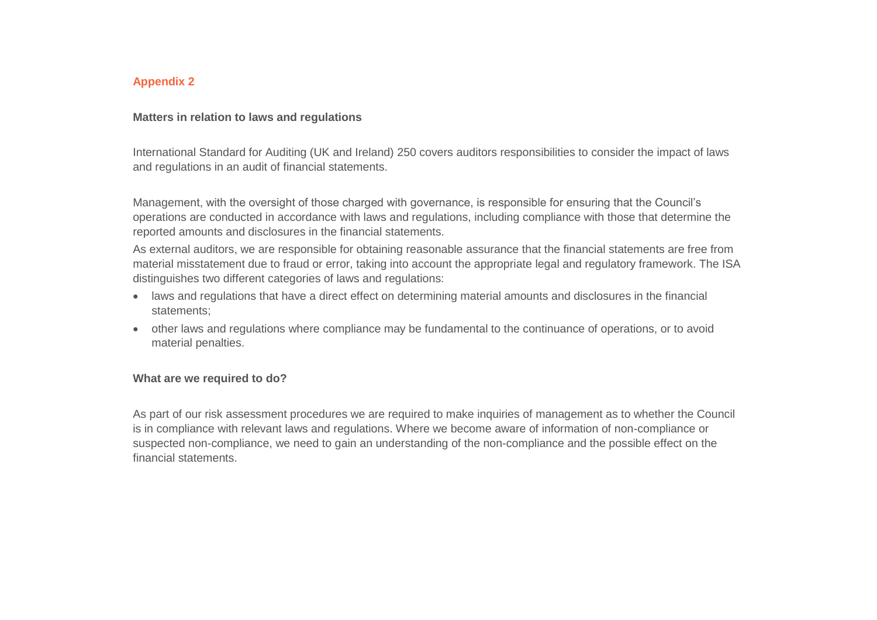## **Appendix 2**

### **Matters in relation to laws and regulations**

International Standard for Auditing (UK and Ireland) 250 covers auditors responsibilities to consider the impact of laws and regulations in an audit of financial statements.

Management, with the oversight of those charged with governance, is responsible for ensuring that the Council's operations are conducted in accordance with laws and regulations, including compliance with those that determine the reported amounts and disclosures in the financial statements.

As external auditors, we are responsible for obtaining reasonable assurance that the financial statements are free from material misstatement due to fraud or error, taking into account the appropriate legal and regulatory framework. The ISA distinguishes two different categories of laws and regulations:

- laws and regulations that have a direct effect on determining material amounts and disclosures in the financial statements;
- other laws and regulations where compliance may be fundamental to the continuance of operations, or to avoid material penalties.

#### **What are we required to do?**

As part of our risk assessment procedures we are required to make inquiries of management as to whether the Council is in compliance with relevant laws and regulations. Where we become aware of information of non-compliance or suspected non-compliance, we need to gain an understanding of the non-compliance and the possible effect on the financial statements.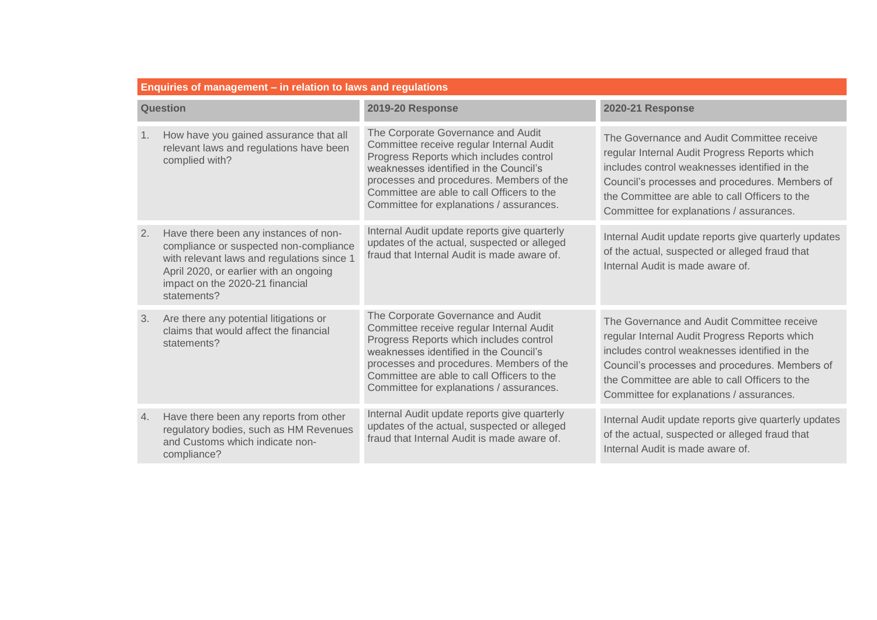| Enquiries of management - in relation to laws and regulations |                                                                                                                                                                                                                           |                                                                                                                                                                                                                                                                                                           |                                                                                                                                                                                                                                                                                              |
|---------------------------------------------------------------|---------------------------------------------------------------------------------------------------------------------------------------------------------------------------------------------------------------------------|-----------------------------------------------------------------------------------------------------------------------------------------------------------------------------------------------------------------------------------------------------------------------------------------------------------|----------------------------------------------------------------------------------------------------------------------------------------------------------------------------------------------------------------------------------------------------------------------------------------------|
| Question                                                      |                                                                                                                                                                                                                           | <b>2019-20 Response</b>                                                                                                                                                                                                                                                                                   | <b>2020-21 Response</b>                                                                                                                                                                                                                                                                      |
| 1.                                                            | How have you gained assurance that all<br>relevant laws and regulations have been<br>complied with?                                                                                                                       | The Corporate Governance and Audit<br>Committee receive regular Internal Audit<br>Progress Reports which includes control<br>weaknesses identified in the Council's<br>processes and procedures. Members of the<br>Committee are able to call Officers to the<br>Committee for explanations / assurances. | The Governance and Audit Committee receive<br>regular Internal Audit Progress Reports which<br>includes control weaknesses identified in the<br>Council's processes and procedures. Members of<br>the Committee are able to call Officers to the<br>Committee for explanations / assurances. |
| 2.                                                            | Have there been any instances of non-<br>compliance or suspected non-compliance<br>with relevant laws and regulations since 1<br>April 2020, or earlier with an ongoing<br>impact on the 2020-21 financial<br>statements? | Internal Audit update reports give quarterly<br>updates of the actual, suspected or alleged<br>fraud that Internal Audit is made aware of.                                                                                                                                                                | Internal Audit update reports give quarterly updates<br>of the actual, suspected or alleged fraud that<br>Internal Audit is made aware of                                                                                                                                                    |
| 3.                                                            | Are there any potential litigations or<br>claims that would affect the financial<br>statements?                                                                                                                           | The Corporate Governance and Audit<br>Committee receive regular Internal Audit<br>Progress Reports which includes control<br>weaknesses identified in the Council's<br>processes and procedures. Members of the<br>Committee are able to call Officers to the<br>Committee for explanations / assurances. | The Governance and Audit Committee receive<br>regular Internal Audit Progress Reports which<br>includes control weaknesses identified in the<br>Council's processes and procedures. Members of<br>the Committee are able to call Officers to the<br>Committee for explanations / assurances. |
| 4.                                                            | Have there been any reports from other<br>regulatory bodies, such as HM Revenues<br>and Customs which indicate non-<br>compliance?                                                                                        | Internal Audit update reports give quarterly<br>updates of the actual, suspected or alleged<br>fraud that Internal Audit is made aware of.                                                                                                                                                                | Internal Audit update reports give quarterly updates<br>of the actual, suspected or alleged fraud that<br>Internal Audit is made aware of.                                                                                                                                                   |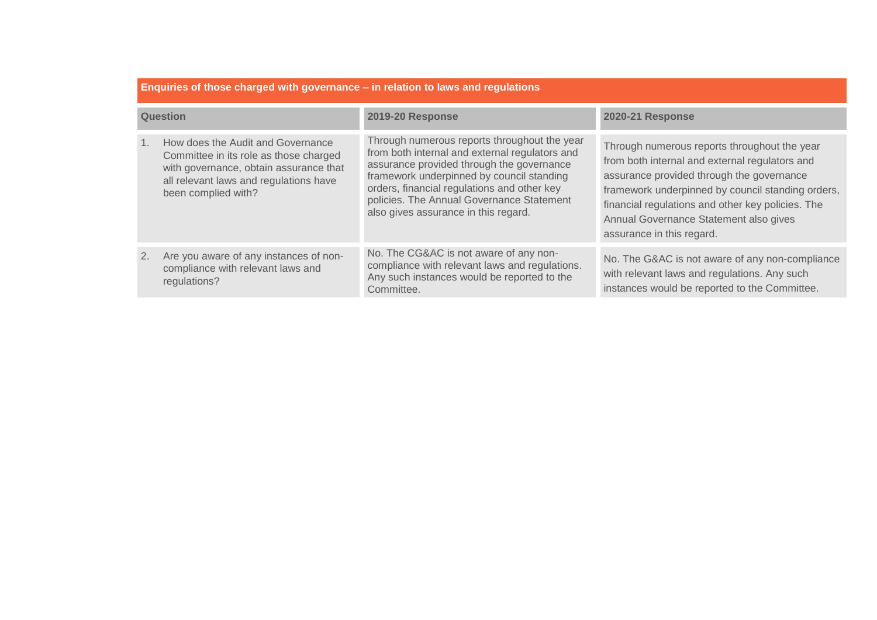| Enquiries of those charged with governance – in relation to laws and regulations |                                                                                                                                                                                        |                                                                                                                                                                                                                                                                                                                              |                                                                                                                                                                                                                                                                                                                              |
|----------------------------------------------------------------------------------|----------------------------------------------------------------------------------------------------------------------------------------------------------------------------------------|------------------------------------------------------------------------------------------------------------------------------------------------------------------------------------------------------------------------------------------------------------------------------------------------------------------------------|------------------------------------------------------------------------------------------------------------------------------------------------------------------------------------------------------------------------------------------------------------------------------------------------------------------------------|
| <b>Question</b>                                                                  |                                                                                                                                                                                        | <b>2019-20 Response</b>                                                                                                                                                                                                                                                                                                      | <b>2020-21 Response</b>                                                                                                                                                                                                                                                                                                      |
|                                                                                  | How does the Audit and Governance<br>Committee in its role as those charged<br>with governance, obtain assurance that<br>all relevant laws and regulations have<br>been complied with? | Through numerous reports throughout the year<br>from both internal and external regulators and<br>assurance provided through the governance<br>framework underpinned by council standing<br>orders, financial regulations and other key<br>policies. The Annual Governance Statement<br>also gives assurance in this regard. | Through numerous reports throughout the year<br>from both internal and external regulators and<br>assurance provided through the governance<br>framework underpinned by council standing orders,<br>financial regulations and other key policies. The<br>Annual Governance Statement also gives<br>assurance in this regard. |
| 2.                                                                               | Are you aware of any instances of non-<br>compliance with relevant laws and<br>regulations?                                                                                            | No. The CG&AC is not aware of any non-<br>compliance with relevant laws and regulations.<br>Any such instances would be reported to the<br>Committee.                                                                                                                                                                        | No. The G&AC is not aware of any non-compliance<br>with relevant laws and regulations. Any such<br>instances would be reported to the Committee.                                                                                                                                                                             |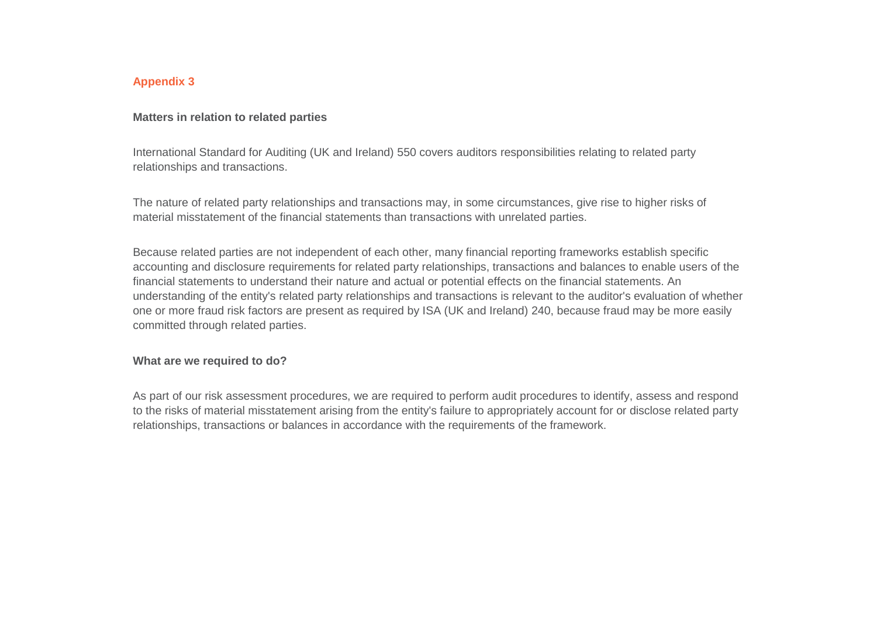## **Appendix 3**

### **Matters in relation to related parties**

International Standard for Auditing (UK and Ireland) 550 covers auditors responsibilities relating to related party relationships and transactions.

The nature of related party relationships and transactions may, in some circumstances, give rise to higher risks of material misstatement of the financial statements than transactions with unrelated parties.

Because related parties are not independent of each other, many financial reporting frameworks establish specific accounting and disclosure requirements for related party relationships, transactions and balances to enable users of the financial statements to understand their nature and actual or potential effects on the financial statements. An understanding of the entity's related party relationships and transactions is relevant to the auditor's evaluation of whether one or more fraud risk factors are present as required by ISA (UK and Ireland) 240, because fraud may be more easily committed through related parties.

#### **What are we required to do?**

As part of our risk assessment procedures, we are required to perform audit procedures to identify, assess and respond to the risks of material misstatement arising from the entity's failure to appropriately account for or disclose related party relationships, transactions or balances in accordance with the requirements of the framework.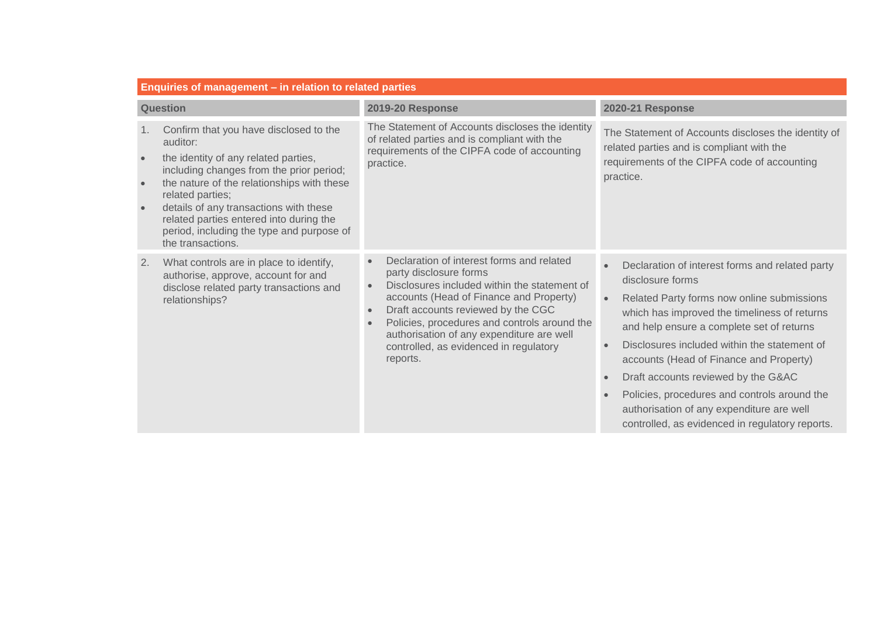| Enquiries of management – in relation to related parties |                                                                                                                                                                                                                                                                                                                                                                 |                                                                                                                                                                                                                                                                                                                                                                                   |                                                                                                                                                                                                                                                                                                                                                                                                                                                                                                                                         |
|----------------------------------------------------------|-----------------------------------------------------------------------------------------------------------------------------------------------------------------------------------------------------------------------------------------------------------------------------------------------------------------------------------------------------------------|-----------------------------------------------------------------------------------------------------------------------------------------------------------------------------------------------------------------------------------------------------------------------------------------------------------------------------------------------------------------------------------|-----------------------------------------------------------------------------------------------------------------------------------------------------------------------------------------------------------------------------------------------------------------------------------------------------------------------------------------------------------------------------------------------------------------------------------------------------------------------------------------------------------------------------------------|
| <b>Question</b>                                          |                                                                                                                                                                                                                                                                                                                                                                 | <b>2019-20 Response</b>                                                                                                                                                                                                                                                                                                                                                           | <b>2020-21 Response</b>                                                                                                                                                                                                                                                                                                                                                                                                                                                                                                                 |
| 1.                                                       | Confirm that you have disclosed to the<br>auditor:<br>the identity of any related parties,<br>including changes from the prior period;<br>the nature of the relationships with these<br>related parties;<br>details of any transactions with these<br>related parties entered into during the<br>period, including the type and purpose of<br>the transactions. | The Statement of Accounts discloses the identity<br>of related parties and is compliant with the<br>requirements of the CIPFA code of accounting<br>practice.                                                                                                                                                                                                                     | The Statement of Accounts discloses the identity of<br>related parties and is compliant with the<br>requirements of the CIPFA code of accounting<br>practice.                                                                                                                                                                                                                                                                                                                                                                           |
| 2.                                                       | What controls are in place to identify,<br>authorise, approve, account for and<br>disclose related party transactions and<br>relationships?                                                                                                                                                                                                                     | Declaration of interest forms and related<br>party disclosure forms<br>Disclosures included within the statement of<br>accounts (Head of Finance and Property)<br>Draft accounts reviewed by the CGC<br>$\bullet$<br>Policies, procedures and controls around the<br>$\bullet$<br>authorisation of any expenditure are well<br>controlled, as evidenced in regulatory<br>reports. | Declaration of interest forms and related party<br>$\bullet$<br>disclosure forms<br>Related Party forms now online submissions<br>which has improved the timeliness of returns<br>and help ensure a complete set of returns<br>Disclosures included within the statement of<br>accounts (Head of Finance and Property)<br>Draft accounts reviewed by the G&AC<br>$\bullet$<br>Policies, procedures and controls around the<br>$\bullet$<br>authorisation of any expenditure are well<br>controlled, as evidenced in regulatory reports. |

the control of the control of the control of the